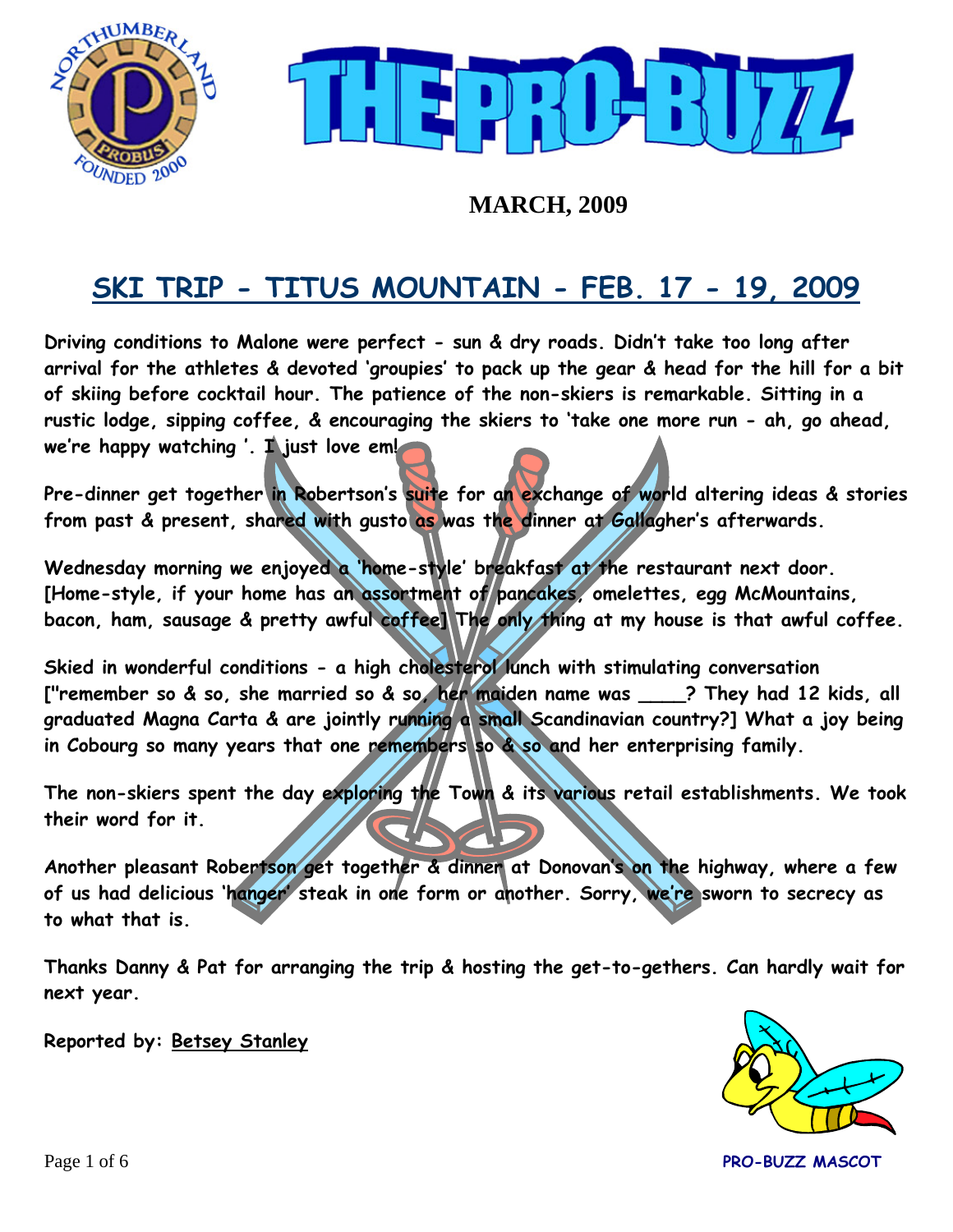



## **MARCH, 2009**

# **SKI TRIP - TITUS MOUNTAIN - FEB. 17 - 19, 2009**

**Driving conditions to Malone were perfect - sun & dry roads. Didn't take too long after arrival for the athletes & devoted 'groupies' to pack up the gear & head for the hill for a bit of skiing before cocktail hour. The patience of the non-skiers is remarkable. Sitting in a rustic lodge, sipping coffee, & encouraging the skiers to 'take one more run - ah, go ahead, we're happy watching '. I just love em!**

**Pre-dinner get together in Robertson's suite for an exchange of world altering ideas & stories from past & present, shared with gusto as was the dinner at Gallagher's afterwards.**

**Wednesday morning we enjoyed a 'home-style' breakfast at the restaurant next door. [Home-style, if your home has an assortment of pancakes, omelettes, egg McMountains, bacon, ham, sausage & pretty awful coffee] The only thing at my house is that awful coffee.**

**Skied in wonderful conditions - a high cholesterol lunch with stimulating conversation ["remember so & so, she married so & so, her maiden name was \_\_\_\_? They had 12 kids, all graduated Magna Carta & are jointly running a small Scandinavian country?] What a joy being in Cobourg so many years that one remembers so & so and her enterprising family.**

**The non-skiers spent the day exploring the Town & its various retail establishments. We took their word for it.**

**Another pleasant Robertson get together & dinner at Donovan's on the highway, where a few of us had delicious 'hanger' steak in one form or another. Sorry, we're sworn to secrecy as to what that is.**

**Thanks Danny & Pat for arranging the trip & hosting the get-to-gethers. Can hardly wait for next year.** 

**Reported by: Betsey Stanley**



Page 1 of 6 **PRO-BUZZ MASCOT PRO-BUZZ MASCOT**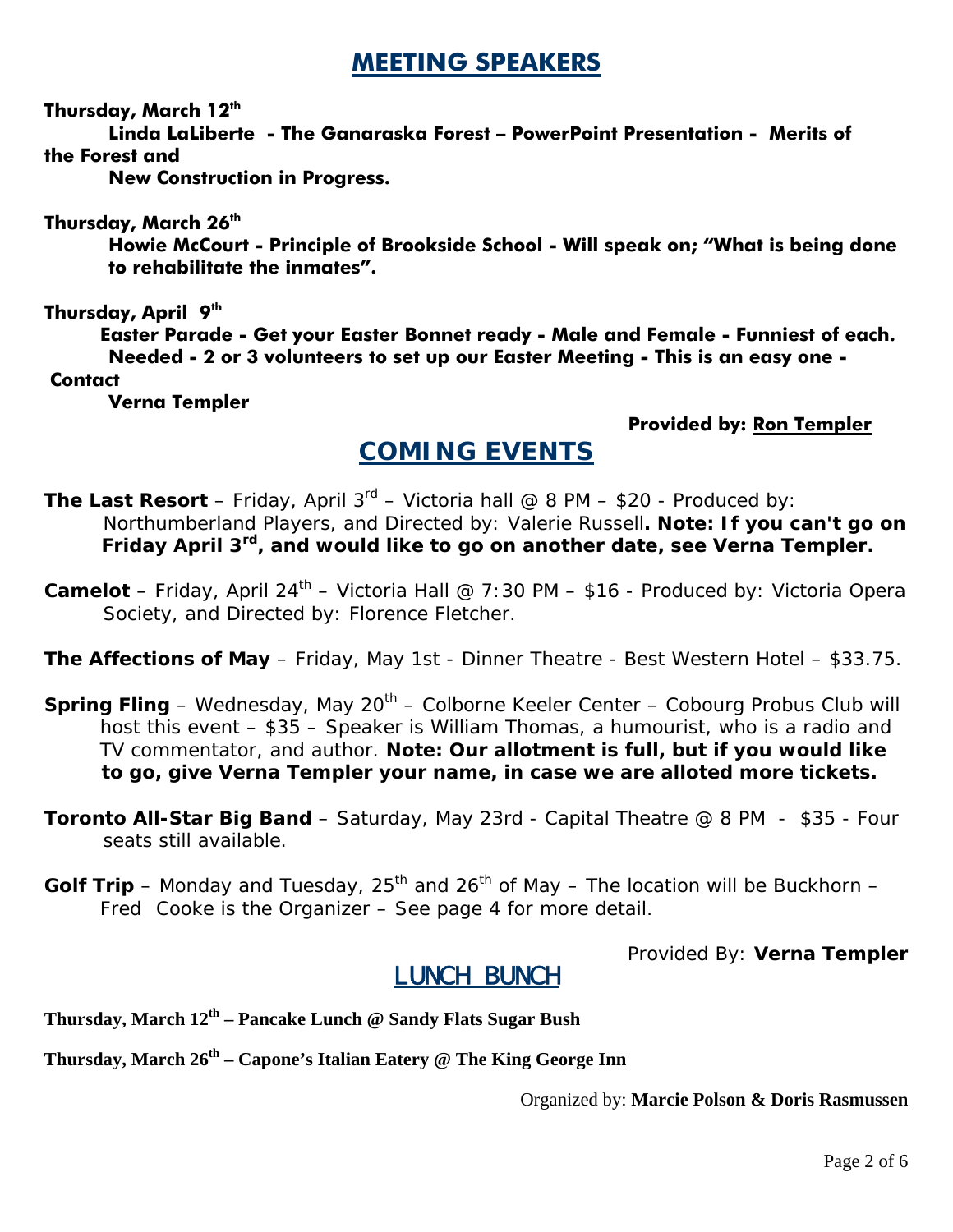## **MEETING SPEAKERS**

Thursday, March 12<sup>th</sup>

 **Linda LaLiberte - The Ganaraska Forest – PowerPoint Presentation - Merits of the Forest and** 

 **New Construction in Progress.** 

**Thursday, March 26th** 

 **Howie McCourt - Principle of Brookside School - Will speak on; "What is being done to rehabilitate the inmates".** 

**Thursday, April 9th**

 **Easter Parade - Get your Easter Bonnet ready - Male and Female - Funniest of each. Needed - 2 or 3 volunteers to set up our Easter Meeting - This is an easy one - Contact** 

 **Verna Templer** 

 **Provided by: Ron Templer** 

### **COMING EVENTS**

- **The Last Resort** Friday, April  $3^{rd}$  Victoria hall @ 8 PM \$20 Produced by: Northumberland Players, and Directed by: Valerie Russell**. Note: If you can't go on Friday April 3rd, and would like to go on another date, see Verna Templer.**
- **Camelot** Friday, April 24<sup>th</sup> Victoria Hall @ 7:30 PM \$16 Produced by: Victoria Opera Society, and Directed by: Florence Fletcher.
- **The Affections of May**  Friday, May 1st Dinner Theatre Best Western Hotel \$33.75.
- **Spring Fling** Wednesday, May 20<sup>th</sup> Colborne Keeler Center Cobourg Probus Club will host this event – \$35 – Speaker is William Thomas, a humourist, who is a radio and TV commentator, and author. **Note: Our allotment is full, but if you would like to go, give Verna Templer your name, in case we are alloted more tickets.**
- **Toronto All-Star Big Band**  Saturday, May 23rd Capital Theatre @ 8 PM \$35 Four seats still available.
- **Golf Trip** Monday and Tuesday,  $25<sup>th</sup>$  and  $26<sup>th</sup>$  of May The location will be Buckhorn Fred Cooke is the Organizer – See page 4 for more detail.

Provided By: **Verna Templer** 

## LUNCH BUNCH

**Thursday, March 12th – Pancake Lunch @ Sandy Flats Sugar Bush** 

**Thursday, March 26th – Capone's Italian Eatery @ The King George Inn** 

Organized by: **Marcie Polson & Doris Rasmussen**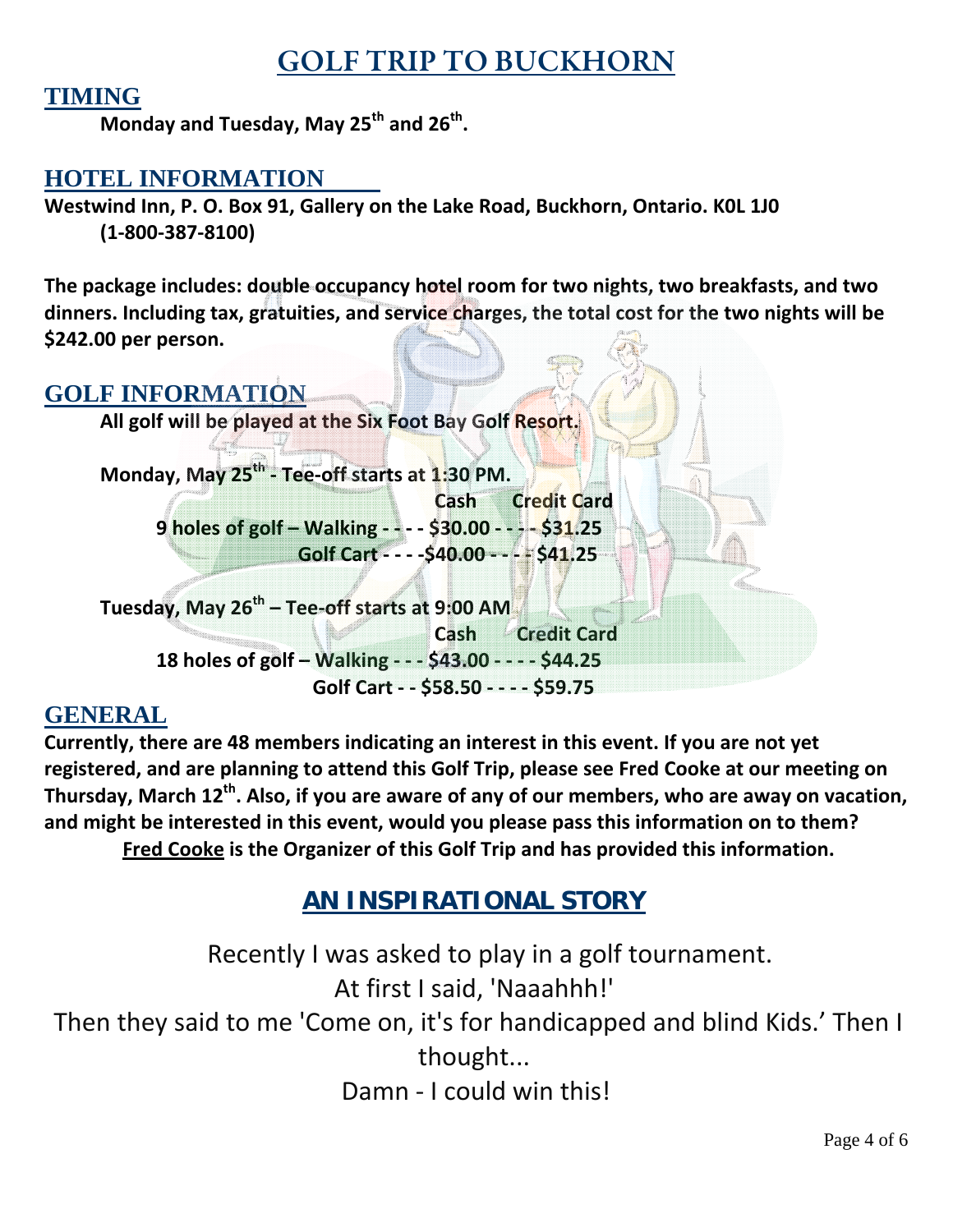# GOLF TRIP TO BUCKHORN

#### **TIMING**

**Monday and Tuesday, May 25th and 26th.**

#### **HOTEL INFORMATION**

**Westwind Inn, P. O. Box 91, Gallery on the Lake Road, Buckhorn, Ontario. K0L 1J0 (1‐800‐387‐8100)**

**The package includes: double occupancy hotel room for two nights, two breakfasts, and two dinners. Including tax, gratuities, and service charges, the total cost for the two nights will be \$242.00 per person.** 

#### **GOLF INFORMATION**

**All golf will be played at the Six Foot Bay Golf Resort.**

**Monday, May 25th ‐ Tee‐off starts at 1:30 PM.**

 **Cash Credit Card 9 holes of golf – Walking ‐ ‐ ‐ ‐ \$30.00 ‐ ‐ ‐ ‐ \$31.25 Golf Cart ‐ ‐ ‐ ‐\$40.00 ‐ ‐ ‐ ‐ \$41.25**

**Tuesday, May 26th – Tee‐off starts at 9:00 AM**

 **Cash Credit Card 18 holes of golf – Walking ‐ ‐ ‐ \$43.00 ‐ ‐ ‐ ‐ \$44.25 Golf Cart ‐ ‐ \$58.50 ‐ ‐ ‐ ‐ \$59.75**

#### **GENERAL**

**Currently, there are 48 members indicating an interest in this event. If you are not yet registered, and are planning to attend this Golf Trip, please see Fred Cooke at our meeting on Thursday, March 12th. Also, if you are aware of any of our members, who are away on vacation, and might be interested in this event, would you please pass this information on to them? Fred Cooke is the Organizer of this Golf Trip and has provided this information.**

## **AN INSPIRATIONAL STORY**

 Recently I was asked to play in a golf tournament. At first I said, 'Naaahhh!' Then they said to me 'Come on, it's for handicapped and blind Kids.' Then I thought... Damn ‐ I could win this!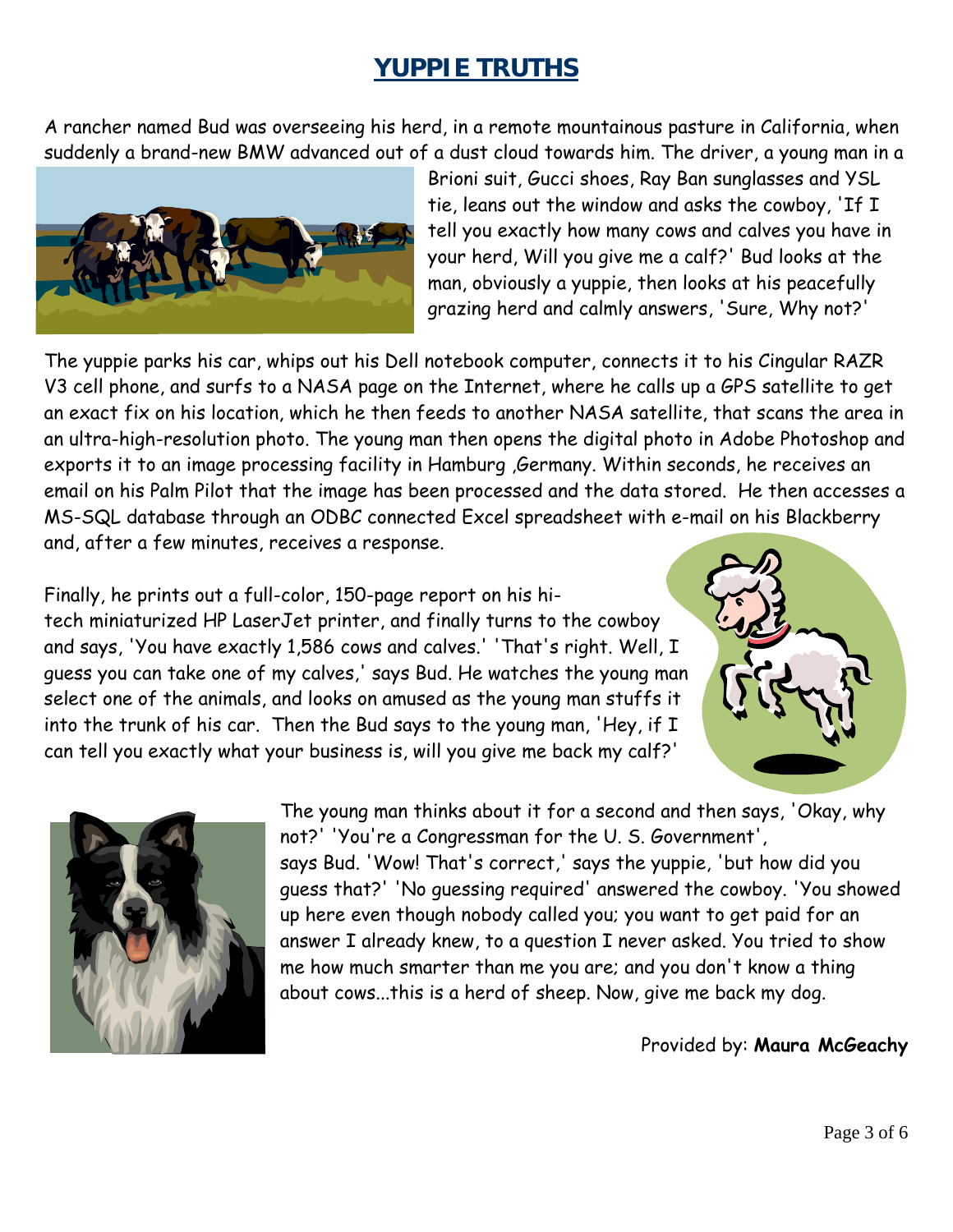## **YUPPIE TRUTHS**

A rancher named Bud was overseeing his herd, in a remote mountainous pasture in California, when suddenly a brand-new BMW advanced out of a dust cloud towards him. The driver, a young man in a



Brioni suit, Gucci shoes, Ray Ban sunglasses and YSL tie, leans out the window and asks the cowboy, 'If I tell you exactly how many cows and calves you have in your herd, Will you give me a calf?' Bud looks at the man, obviously a yuppie, then looks at his peacefully grazing herd and calmly answers, 'Sure, Why not?'

The yuppie parks his car, whips out his Dell notebook computer, connects it to his Cingular RAZR V3 cell phone, and surfs to a NASA page on the Internet, where he calls up a GPS satellite to get an exact fix on his location, which he then feeds to another NASA satellite, that scans the area in an ultra-high-resolution photo. The young man then opens the digital photo in Adobe Photoshop and exports it to an image processing facility in Hamburg ,Germany. Within seconds, he receives an email on his Palm Pilot that the image has been processed and the data stored. He then accesses a MS-SQL database through an ODBC connected Excel spreadsheet with e-mail on his Blackberry and, after a few minutes, receives a response.

Finally, he prints out a full-color, 150-page report on his hitech miniaturized HP LaserJet printer, and finally turns to the cowboy and says, 'You have exactly 1,586 cows and calves.' 'That's right. Well, I guess you can take one of my calves,' says Bud. He watches the young man select one of the animals, and looks on amused as the young man stuffs it into the trunk of his car. Then the Bud says to the young man, 'Hey, if I can tell you exactly what your business is, will you give me back my calf?'





The young man thinks about it for a second and then says, 'Okay, why not?' 'You're a Congressman for the U. S. Government', says Bud. 'Wow! That's correct,' says the yuppie, 'but how did you guess that?' 'No guessing required' answered the cowboy. 'You showed up here even though nobody called you; you want to get paid for an answer I already knew, to a question I never asked. You tried to show me how much smarter than me you are; and you don't know a thing about cows...this is a herd of sheep. Now, give me back my dog.

Provided by: **Maura McGeachy**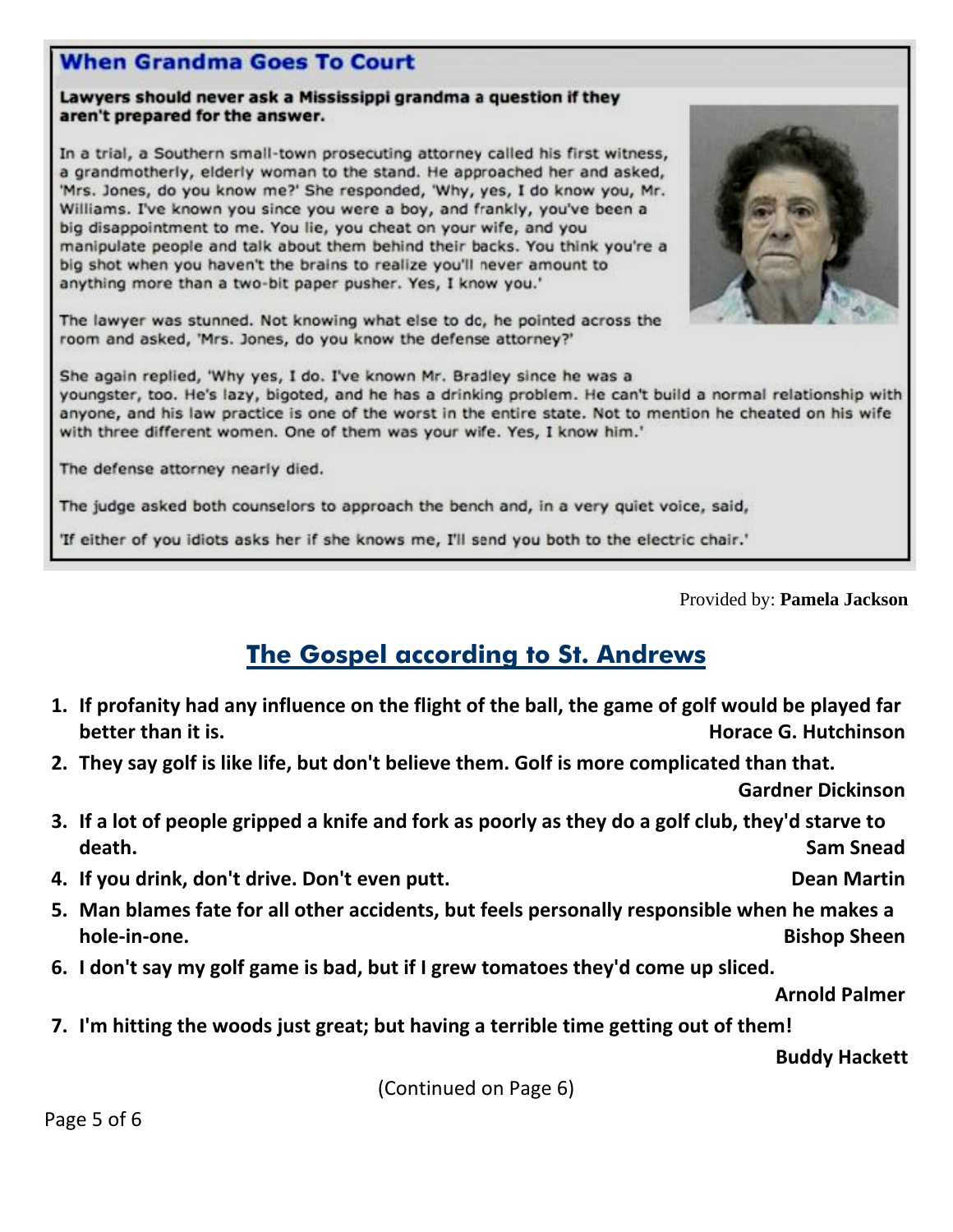#### **When Grandma Goes To Court**

#### Lawyers should never ask a Mississippi grandma a question if they aren't prepared for the answer.

In a trial, a Southern small-town prosecuting attorney called his first witness, a grandmotherly, elderly woman to the stand. He approached her and asked, 'Mrs. Jones, do you know me?' She responded, 'Why, yes, I do know you, Mr. Williams. I've known you since you were a boy, and frankly, you've been a big disappointment to me. You lie, you cheat on your wife, and you manipulate people and talk about them behind their backs. You think you're a big shot when you haven't the brains to realize you'll never amount to anything more than a two-bit paper pusher. Yes, I know you.'



The lawyer was stunned. Not knowing what else to do, he pointed across the room and asked, 'Mrs. Jones, do you know the defense attorney?'

She again replied, 'Why yes, I do. I've known Mr. Bradley since he was a youngster, too. He's lazy, bigoted, and he has a drinking problem. He can't build a normal relationship with anyone, and his law practice is one of the worst in the entire state. Not to mention he cheated on his wife with three different women. One of them was your wife. Yes, I know him.'

The defense attorney nearly died.

The judge asked both counselors to approach the bench and, in a very quiet voice, said,

'If either of you idiots asks her if she knows me, I'll send you both to the electric chair.'

Provided by: **Pamela Jackson** 

# **The Gospel according to St. Andrews**

- 1. If profanity had any influence on the flight of the ball, the game of golf would be played far **better than it is. Horace G. Hutchinson**
- **2. They say golf is like life, but don't believe them. Golf is more complicated than that.**

 **Gardner Dickinson**

- 3. If a lot of people gripped a knife and fork as poorly as they do a golf club, they'd starve to **death. Sam Snead**
- **4. If you drink, don't drive. Don't even putt. Dean Martin**
- **5. Man blames fate for all other accidents, but feels personally responsible when he makes a hole‐in‐one. Bishop Sheen**
- **6. I don't say my golf game is bad, but if I grew tomatoes they'd come up sliced.**

 **Arnold Palmer**

**7. I'm hitting the woods just great; but having a terrible time getting out of them!**

**Buddy Hackett**

(Continued on Page 6)